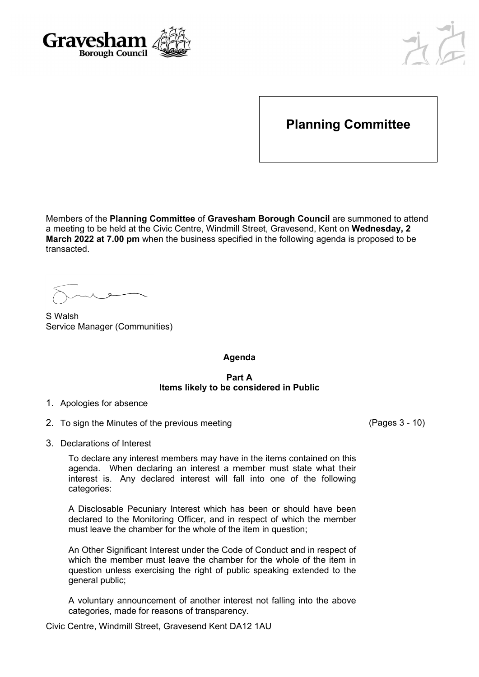



# **Planning Committee**

Members of the **Planning Committee** of **Gravesham Borough Council** are summoned to attend a meeting to be held at the Civic Centre, Windmill Street, Gravesend, Kent on **Wednesday, 2 March 2022 at 7.00 pm** when the business specified in the following agenda is proposed to be transacted.

S Walsh Service Manager (Communities)

**Agenda**

#### **Part A Items likely to be considered in Public**

- 1. Apologies for absence
- 2. To sign the Minutes of the previous meeting (Pages 3 10)

3. Declarations of Interest

To declare any interest members may have in the items contained on this agenda. When declaring an interest a member must state what their interest is. Any declared interest will fall into one of the following categories:

A Disclosable Pecuniary Interest which has been or should have been declared to the Monitoring Officer, and in respect of which the member must leave the chamber for the whole of the item in question;

An Other Significant Interest under the Code of Conduct and in respect of which the member must leave the chamber for the whole of the item in question unless exercising the right of public speaking extended to the general public;

A voluntary announcement of another interest not falling into the above categories, made for reasons of transparency.

Civic Centre, Windmill Street, Gravesend Kent DA12 1AU